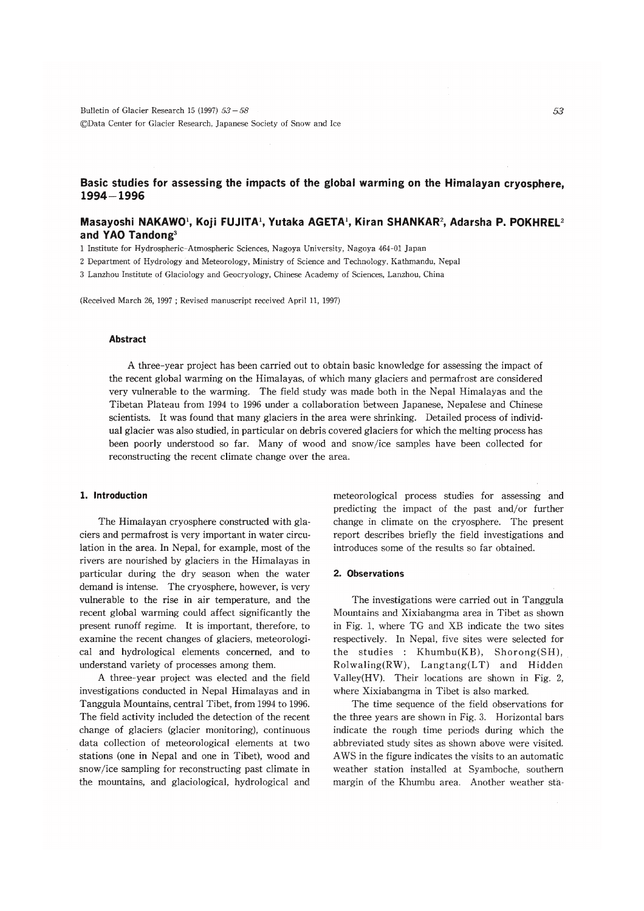Bulletin of Glacier Research 15 (1997)  $53 - 58$ ©Data Center for Glacier Research, Japanese Society of Snow and Ice

# Basic studies for assessing the impacts of the global warming on the Himalayan cryosphere. 1994-1996

# Masayoshi NAKAWO', Koji FUJITA', Yutaka AGETA', Kiran SHANKAR', Adarsha P. POKHREL<sup>2</sup> and YAO Tandong<sup>3</sup>

1 Institute for Hydrospheric-Atmospheric Sciences, Nagoya University, Nagoya 464-01 Japan

2 Department of Hydrology and Meteorology, Ministry of Science and Technology, Kathmandu, Nepal

3 Lanzhou Institute of Glaciology and Geocryology, Chinese Academy of Sciences, Lanzhou, China

(Received March 26, 1997 ; Revised manuscript received April 11, 1997)

#### **Abstract**

A three-year project has been carried out to obtain basic knowledge for assessing the impact of the recent global warming on the Himalayas, of which many glaciers and permafrost are considered very vulnerable to the warming. The field study was made both in the Nepal Himalayas and the Tibetan Plateau from 1994 to 1996 under a collaboration between Japanese, Nepalese and Chinese scientists. It was found that many glaciers in the area were shrinking. Detailed process of individual glacier was also studied, in particular on debris covered glaciers for which the melting process has been poorly understood so far. Many of wood and snow/ice samples have been collected for reconstructing the recent climate change over the area.

## 1. Introduction

The Himalayan cryosphere constructed with glaciers and permafrost is very important in water circulation in the area. In Nepal, for example, most of the rivers are nourished by glaciers in the Himalayas in particular during the dry season when the water demand is intense. The cryosphere, however, is very vulnerable to the rise in air temperature, and the recent global warming could affect significantly the present runoff regime. It is important, therefore, to examine the recent changes of glaciers, meteorological and hydrological elements concerned, and to understand variety of processes among them.

A three-year project was elected and the field investigations conducted in Nepal Himalayas and in Tanggula Mountains, central Tibet, from 1994 to 1996. The field activity included the detection of the recent change of glaciers (glacier monitoring), continuous data collection of meteorological elements at two stations (one in Nepal and one in Tibet), wood and snow/ice sampling for reconstructing past climate in the mountains, and glaciological, hydrological and meteorological process studies for assessing and predicting the impact of the past and/or further change in climate on the cryosphere. The present report describes briefly the field investigations and introduces some of the results so far obtained.

#### 2. Observations

The investigations were carried out in Tanggula Mountains and Xixiabangma area in Tibet as shown in Fig. 1, where TG and XB indicate the two sites respectively. In Nepal, five sites were selected for the studies : Khumbu(KB), Shorong(SH),  $Rollwaling(RW)$ ,  $Langtang(LT)$  and Hidden Valley(HV). Their locations are shown in Fig. 2, where Xixiabangma in Tibet is also marked.

The time sequence of the field observations for the three years are shown in Fig. 3. Horizontal bars indicate the rough time periods during which the abbreviated study sites as shown above were visited. AWS in the figure indicates the visits to an automatic weather station installed at Syamboche, southern margin of the Khumbu area. Another weather sta-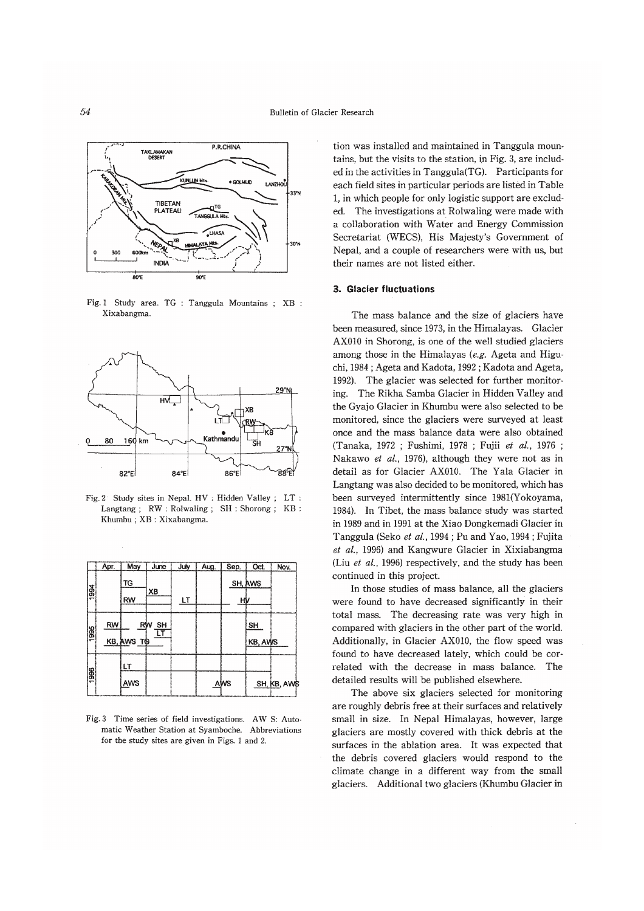

Fig. 1 Study area. TG : Tanggula Mountains ; XB : Xixabangma



Fig. 2 Study sites in Nepal. HV : Hidden Valley ; LT : Langtang; RW: Rolwaling; SH: Shorong; KB: Khumbu; XB: Xixabangma.

|      | Apr. | May        | June                  | July | Aug. | Sep. | Oct.                  | Nov.        |
|------|------|------------|-----------------------|------|------|------|-----------------------|-------------|
| 1994 |      | TG         |                       |      |      |      | SH, AWS               |             |
|      |      | RW         | XB                    | LT   |      | НV   |                       |             |
| 1995 | RW   | KB, AWS TO | RW<br><b>SH</b><br>LT |      |      |      | SH<br><b>KB, AVVS</b> |             |
| 1996 |      | LТ         |                       |      |      |      |                       |             |
|      |      | AWS        |                       |      |      | AWS  |                       | SH, KB, AWE |

Fig. 3 Time series of field investigations. AW S: Automatic Weather Station at Syamboche. Abbreviations for the study sites are given in Figs. 1 and 2.

tion was installed and maintained in Tanggula mountains, but the visits to the station, in Fig. 3, are included in the activities in Tanggula(TG). Participants for each field sites in particular periods are listed in Table 1. in which people for only logistic support are excluded. The investigations at Rolwaling were made with a collaboration with Water and Energy Commission Secretariat (WECS), His Majesty's Government of Nepal, and a couple of researchers were with us, but their names are not listed either.

### 3. Glacier fluctuations

The mass balance and the size of glaciers have been measured, since 1973, in the Himalayas. Glacier AX010 in Shorong, is one of the well studied glaciers among those in the Himalayas (e.g. Ageta and Higuchi, 1984; Ageta and Kadota, 1992; Kadota and Ageta, 1992). The glacier was selected for further monitoring. The Rikha Samba Glacier in Hidden Valley and the Gyajo Glacier in Khumbu were also selected to be monitored, since the glaciers were surveyed at least once and the mass balance data were also obtained (Tanaka, 1972; Fushimi, 1978; Fujii et al., 1976; Nakawo et al., 1976), although they were not as in detail as for Glacier AX010. The Yala Glacier in Langtang was also decided to be monitored, which has been surveyed intermittently since 1981(Yokoyama, 1984). In Tibet, the mass balance study was started in 1989 and in 1991 at the Xiao Dongkemadi Glacier in Tanggula (Seko et al., 1994; Pu and Yao, 1994; Fujita et al., 1996) and Kangwure Glacier in Xixiabangma (Liu et al., 1996) respectively, and the study has been continued in this project.

In those studies of mass balance, all the glaciers were found to have decreased significantly in their total mass. The decreasing rate was very high in compared with glaciers in the other part of the world. Additionally, in Glacier AX010, the flow speed was found to have decreased lately, which could be correlated with the decrease in mass balance. The detailed results will be published elsewhere.

The above six glaciers selected for monitoring are roughly debris free at their surfaces and relatively small in size. In Nepal Himalayas, however, large glaciers are mostly covered with thick debris at the surfaces in the ablation area. It was expected that the debris covered glaciers would respond to the climate change in a different way from the small glaciers. Additional two glaciers (Khumbu Glacier in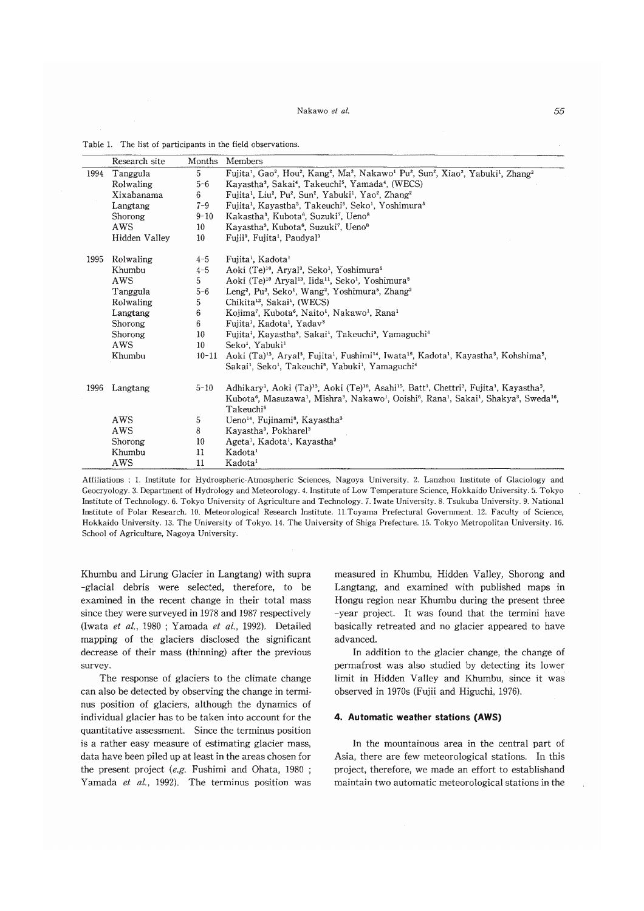#### Nakawo *et al.*  $55$

|      | Research site | Months          | Members                                                                                                                                                                                                                                                                                                                                                                                                                     |
|------|---------------|-----------------|-----------------------------------------------------------------------------------------------------------------------------------------------------------------------------------------------------------------------------------------------------------------------------------------------------------------------------------------------------------------------------------------------------------------------------|
| 1994 | Tanggula      | 5               | Fujita <sup>1</sup> , Gao <sup>2</sup> , Hou <sup>2</sup> , Kang <sup>2</sup> , Ma <sup>2</sup> , Nakawo <sup>1</sup> Pu <sup>2</sup> , Sun <sup>2</sup> , Xiao <sup>2</sup> , Yabuki <sup>1</sup> , Zhang <sup>2</sup>                                                                                                                                                                                                     |
|      | Rolwaling     | $5 - 6$         | Kayastha <sup>3</sup> , Sakai <sup>4</sup> , Takeuchi <sup>5</sup> , Yamada <sup>4</sup> , (WECS)                                                                                                                                                                                                                                                                                                                           |
|      | Xixabanama    | 6.              | Fujita <sup>1</sup> , Liu <sup>2</sup> , Pu <sup>2</sup> , Sun <sup>2</sup> , Yabuki <sup>1</sup> , Yao <sup>2</sup> , Zhang <sup>2</sup>                                                                                                                                                                                                                                                                                   |
|      | Langtang      | $7 - 9$         | Fujita <sup>1</sup> , Kayastha <sup>3</sup> , Takeuchi <sup>5</sup> , Seko <sup>1</sup> , Yoshimura <sup>5</sup>                                                                                                                                                                                                                                                                                                            |
|      | Shorong       | $9 - 10$        | Kakastha <sup>3</sup> , Kubota <sup>6</sup> , Suzuki <sup>7</sup> , Ueno <sup>8</sup>                                                                                                                                                                                                                                                                                                                                       |
|      | AWS           | 10              | Kavastha <sup>3</sup> , Kubota <sup>6</sup> , Suzuki <sup>7</sup> , Ueno <sup>8</sup>                                                                                                                                                                                                                                                                                                                                       |
|      | Hidden Valley | 10 <sup>°</sup> | Fujii <sup>9</sup> , Fujita <sup>1</sup> , Paudyal <sup>3</sup>                                                                                                                                                                                                                                                                                                                                                             |
| 1995 | Rolwaling     | $4 - 5$         | Fujita <sup>1</sup> , Kadota <sup>1</sup>                                                                                                                                                                                                                                                                                                                                                                                   |
|      | Khumbu        | $4 - 5$         | Aoki (Te) <sup>10</sup> , Arval <sup>3</sup> , Seko <sup>1</sup> , Yoshimura <sup>5</sup>                                                                                                                                                                                                                                                                                                                                   |
|      | AWS           | 5.              | Aoki (Te) <sup>10</sup> Aryal <sup>13</sup> , Iida <sup>11</sup> , Seko <sup>1</sup> , Yoshimura <sup>5</sup>                                                                                                                                                                                                                                                                                                               |
|      | Tanggula      | $5 - 6$         | Leng <sup>2</sup> , Pu <sup>2</sup> , Seko <sup>1</sup> , Wang <sup>2</sup> , Yoshimura <sup>5</sup> , Zhang <sup>2</sup>                                                                                                                                                                                                                                                                                                   |
|      | Rolwaling     | 5               | Chikita <sup>12</sup> , Sakai <sup>1</sup> , (WECS)                                                                                                                                                                                                                                                                                                                                                                         |
|      | Langtang      | 6               | Kojima <sup>7</sup> , Kubota <sup>6</sup> , Naito <sup>1</sup> , Nakawo <sup>1</sup> , Rana <sup>1</sup>                                                                                                                                                                                                                                                                                                                    |
|      | Shorong       | 6               | Fujita <sup>1</sup> , Kadota <sup>1</sup> , Yadav <sup>3</sup>                                                                                                                                                                                                                                                                                                                                                              |
|      | Shorong       | 10              | Fujita <sup>1</sup> , Kayastha <sup>3</sup> , Sakai <sup>1</sup> , Takeuchi <sup>5</sup> , Yamaguchi <sup>4</sup>                                                                                                                                                                                                                                                                                                           |
|      | AWS           | 10 <sup>°</sup> | Seko <sup>1</sup> , Yabuki <sup>1</sup>                                                                                                                                                                                                                                                                                                                                                                                     |
|      | Khumbu        | $10 - 11$       | Aoki (Ta) <sup>13</sup> , Aryal <sup>3</sup> , Fujita <sup>1</sup> , Fushimi <sup>14</sup> , Iwata <sup>15</sup> , Kadota <sup>1</sup> , Kayastha <sup>3</sup> , Kohshima <sup>5</sup> ,<br>Sakai <sup>1</sup> , Seko <sup>1</sup> , Takeuchi <sup>5</sup> , Yabuki <sup>1</sup> , Yamaguchi <sup>4</sup>                                                                                                                   |
| 1996 | Langtang      | $5 - 10$        | Adhikary <sup>1</sup> , Aoki (Ta) <sup>13</sup> , Aoki (Te) <sup>10</sup> , Asahi <sup>15</sup> , Batt <sup>1</sup> , Chettri <sup>3</sup> , Fujita <sup>1</sup> , Kayastha <sup>3</sup> ,<br>Kubota <sup>6</sup> , Masuzawa <sup>1</sup> , Mishra <sup>3</sup> , Nakawo <sup>1</sup> , Ooishi <sup>6</sup> , Rana <sup>1</sup> , Sakai <sup>1</sup> , Shakya <sup>3</sup> , Sweda <sup>16</sup> ,<br>Takeuchi <sup>5</sup> |
|      | AWS           | 5               | Ueno <sup>14</sup> , Fujinami <sup>8</sup> , Kayastha <sup>3</sup>                                                                                                                                                                                                                                                                                                                                                          |
|      | AWS           | 8               | Kayastha <sup>3</sup> , Pokharel <sup>3</sup>                                                                                                                                                                                                                                                                                                                                                                               |
|      | Shorong       | 10              | Ageta <sup>1</sup> , Kadota <sup>1</sup> , Kayastha <sup>3</sup>                                                                                                                                                                                                                                                                                                                                                            |
|      | Khumbu        | 11              | Kadota <sup>1</sup>                                                                                                                                                                                                                                                                                                                                                                                                         |
|      | AWS           | 11              | Kadota <sup>1</sup>                                                                                                                                                                                                                                                                                                                                                                                                         |

Table 1. The list of participants in the field observations.

Affiliations: 1. Institute for Hydrospheric-Atmospheric Sciences, Nagoya University. 2. Lanzhou Institute of Glaciology and Geocryology. 3. Department of Hydrology and Meteorology. 4. Institute of Low Temperature Science, Hokkaido University. 5. Tokyo Institute of Technology.6. Tokyo University of Agriculture and Technology.7. Iwate University.8. Tsukuba University.9. National Institute of Polar Research. 10. Meteorological Research Institute. 11.Toyama Prefectural Government. 12. Faculty of Science, Hokkaido University. 13. The University of Tokyo. 14. The University of Shiga Prefecture. 15. Tokyo Metropolitan University. 16. School of Agriculture, Nagoya University.

Khumbu and Lirung Glacier in Langtang) with supra -glacial debris were selected, therefore, to be examined in the recent change in their total mass since they were surveyed in 1978 and 1987 respectively (Iwata et al., 1980; Yamada et al., 1992). Detailed mapping of the glaciers disclosed the significant decrease of their mass (thinning) after the previous survey.

The response of glaciers to the climate change can also be detected by observing the change in terminus position of glaciers, although the dynamics of individual glacier has to be taken into account for the quantitative assessment. Since the terminus position is a rather easy measure of estimating glacier mass, data have been piled up at least in the areas chosen for the present project  $(e.g.$  Fushimi and Ohata, 1980; Yamada et al., 1992). The terminus position was

measured in Khumbu, Hidden Valley, Shorong and Langtang, and examined with published maps in Hongu region near Khumbu during the present three -year project. It was found that the termini have basically retreated and no glacier appeared to have advanced.

In addition to the glacier change, the change of permafrost was also studied by detecting its lower limit in Hidden Valley and Khumbu, since it was observed in 1970s (Fujii and Higuchi, 1976).

### 4. Automatic weather stations (AWS)

In the mountainous area in the central part of Asia, there are few meteorological stations. In this project, therefore, we made an effort to establishand maintain two automatic meteorological stations in the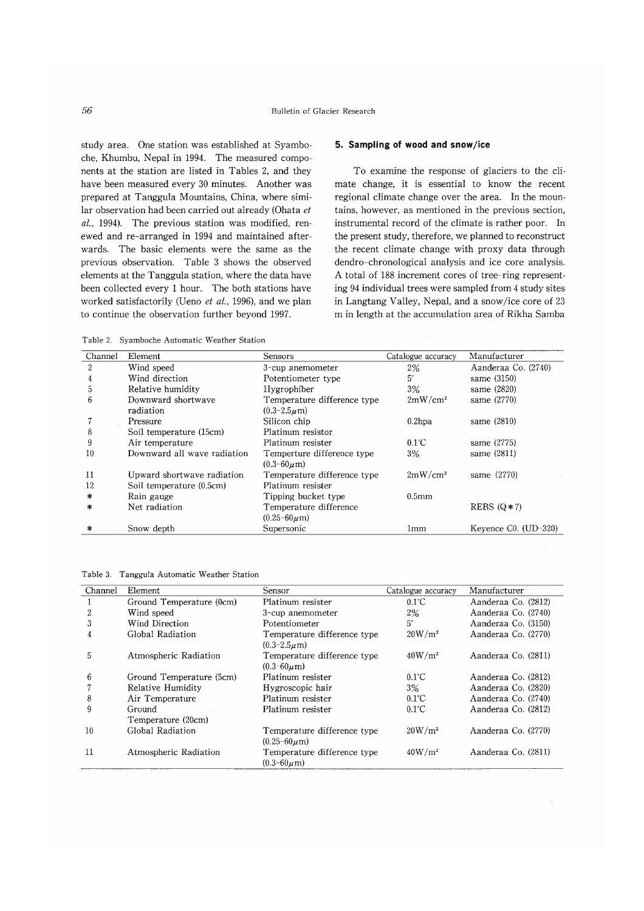study area. One station was established at Syamboche, Khumbu, Nepal in 1994. The measured components at the station are listed in Tables 2, and they have been measured every 30 minutes. Another was prepared at Tanggula Mountains, China, where similar observation had been carried out already (Ohata et  $al., 1994$ ). The previous station was modified, renewed and re-arranged in 1994 and maintained afterwards. The basic elements were the same as the previous observation. Table 3 shows the observed elements at the Tanggula station, where the data have been collected every 1 hour. The both stations have worked satisfactorily (Ueno et al., 1996), and we plan to continue the observation further beyond 1997.

### 5. Sampling of wood and snow/ice

To examine the response of glaciers to the cli mate change, it is essential to know the recent regional climate change over the area. In the mountains, however, as mentioned in the previous section, instrumental record of the climate is rather poor. In the present study, therefore, we planned to reconstruct the recent climate change with proxy data through dendro-chronological analysis and ice core analysis. A total of 188 increment cores of tree-ring representing 94 individual trees were sampled from 4 study sites in Langtang Valley, Nepal, and a snow/ice core of 23 m in length at the accumulation area of Rikha Samba

Table 2. Syamboche Automatic Weather Station

| Channel | Element                     | <b>Sensors</b>              | Catalogue accuracy | Manufacturer           |
|---------|-----------------------------|-----------------------------|--------------------|------------------------|
| 2       | Wind speed                  | 3-cup anemometer            | $2\%$              | Aanderaa Co. (2740)    |
| 4       | Wind direction              | Potentiometer type          | 5°                 | same (3150)            |
| 5       | Relative humidity           | Hygrophiber                 | 3%                 | same (2820)            |
| 6       | Downward shortwave          | Temperature difference type | $2mW/cm^2$         | same (2770)            |
|         | radiation                   | $(0.3 - 2.5\mu m)$          |                    |                        |
|         | Pressure                    | Silicon chip                | $0.2$ hpa          | same (2810)            |
| 8       | Soil temperature (15cm)     | Platinum resistor           |                    |                        |
| 9       | Air temperature             | Platinum resister           | $0.1^{\circ}$ C    | same (2775)            |
| 10      | Downward all wave radiation | Temperture difference type  | 3%                 | same (2811)            |
|         |                             | $(0.3 - 60 \mu m)$          |                    |                        |
| 11      | Upward shortwave radiation  | Temperature difference type | $2mW/cm^2$         | same (2770)            |
| 12      | Soil temperature (0.5cm)    | Platinum resister           |                    |                        |
| *       | Rain gauge                  | Tipping bucket type         | 0.5 <sub>mm</sub>  |                        |
| ∗       | Net radiation               | Temperature difference      |                    | REBS $(0*7)$           |
|         |                             | $(0.25 - 60 \mu m)$         |                    |                        |
| ∗       | Snow depth                  | Supersonic                  | 1mm                | Keyence $C0. (UD-320)$ |

Table 3. Tanggula Automatic Weather Station

| Channel | Element                      | Sensor                                             | Catalogue accuracy | Manufacturer        |
|---------|------------------------------|----------------------------------------------------|--------------------|---------------------|
|         | Ground Temperature (0cm)     | Platinum resister                                  | $0.1^{\circ}$ C    | Aanderaa Co. (2812) |
| 2       | Wind speed                   | 3-cup anemometer                                   | 2%                 | Aanderaa Co. (2740) |
| 3       | Wind Direction               | Potentiometer                                      | $5^\circ$          | Aanderaa Co. (3150) |
| 4       | Global Radiation             | Temperature difference type<br>$(0.3 - 2.5 \mu m)$ | $20W/m^2$          | Aanderaa Co. (2770) |
| 5       | Atmospheric Radiation        | Temperature difference type<br>$(0.3 - 60 \mu m)$  | $40W/m^2$          | Aanderaa Co. (2811) |
| 6       | Ground Temperature (5cm)     | Platinum resister                                  | $0.1^{\circ}$ C    | Aanderaa Co. (2812) |
|         | Relative Humidity            | Hygroscopic hair                                   | 3%                 | Aanderaa Co. (2820) |
| 8       | Air Temperature              | Platinum resister                                  | $0.1^{\circ}$ C    | Aanderaa Co. (2740) |
| 9       | Ground<br>Temperature (20cm) | Platinum resister                                  | $0.1^{\circ}$ C    | Aanderaa Co. (2812) |
| 10      | Global Radiation             | Temperature difference type<br>$(0.25 - 60 \mu m)$ | $20W/m^2$          | Aanderaa Co. (2770) |
| 11      | Atmospheric Radiation        | Temperature difference type<br>$(0.3 - 60 \mu m)$  | $40W/m^2$          | Aanderaa Co. (2811) |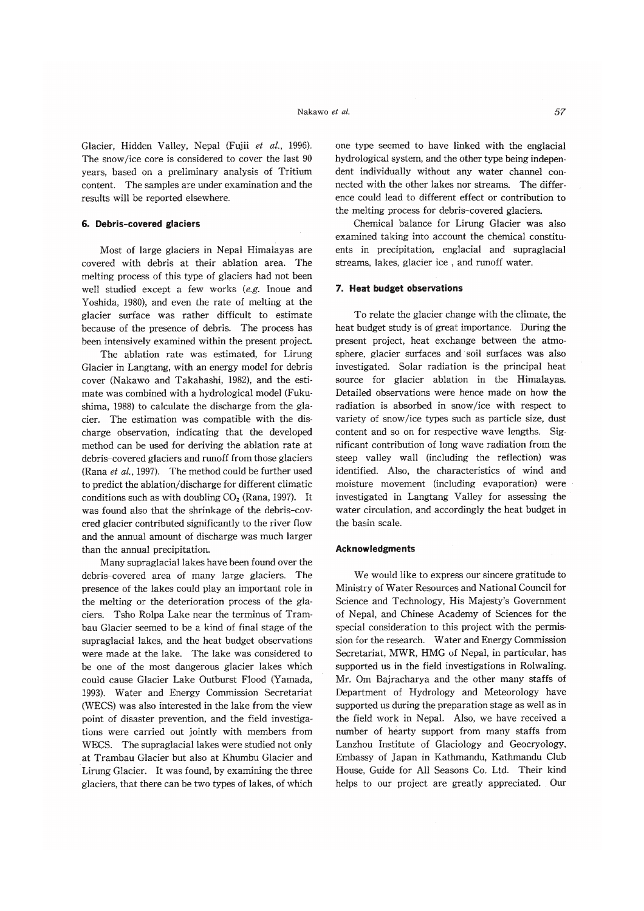Glacier, Hidden Valley, Nepal (Fujii et al., 1996). The snow/ice core is considered to cover the last 90 years, based on a preliminary analysis of Tritium content. The samples are under examination and the results will be reported elsewhere.

#### 6. Debris-covered glaciers

Most of large glaciers in Nepal Himalayas are covered with debris at their ablation area. The melting process of this type of glaciers had not been well studied except a few works (e.g. Inoue and Yoshida, 1980), and even the rate of melting at the glacier surface was rather difficult to estimate because of the presence of debris. The process has been intensively examined within the present project.

The ablation rate was estimated, for Lirung Glacier in Langtang, with an energy model for debris cover (Nakawo and Takahashi, 1982), and the estimate was combined with a hydrological model (Fukushima, 1988) to calculate the discharge from the glacier. The estimation was compatible with the discharge observation, indicating that the developed method can be used for deriving the ablation rate at debris-covered glaciers and runoff from those glaciers (Rana et al., 1997). The method could be further used to predict the ablation/discharge for different climatic conditions such as with doubling  $CO<sub>2</sub>$  (Rana, 1997). It was found also that the shrinkage of the debris-covered glacier contributed significantly to the river flow and the annual amount of discharge was much larger than the annual precipitation.

Many supraglacial lakes have been found over the debris-covered area of many large glaciers. The presence of the lakes could play an important role in the melting or the deterioration process of the glaciers. Tsho Rolpa Lake near the terminus of Trambau Glacier seemed to be a kind of final stage of the supraglacial lakes, and the heat budget observations were made at the lake. The lake was considered to be one of the most dangerous glacier lakes which could cause Glacier Lake Outburst Flood (Yamada, 1993). Water and Energy Commission Secretariat (WECS) was also interested in the lake from the view point of disaster prevention, and the field investigations were carried out jointly with members from WECS. The supraglacial lakes were studied not only at Trambau Glacier but also at Khumbu Glacier and Lirung Glacier. It was found, by examining the three glaciers, that there can be two types of lakes, of which

one type seemed to have linked with the englacial hydrological system, and the other type being independent individually without any water channel connected with the other lakes nor streams. The difference could lead to different effect or contribution to the melting process for debris-covered glaciers.

Chemical balance for Lirung Glacier was also examined taking into account the chemical constituents in precipitation, englacial and supraglacial streams, lakes, glacier ice, and runoff water.

#### 7. Heat budget observations

To relate the glacier change with the climate, the heat budget study is of great importance. During the present project, heat exchange between the atmosphere, glacier surfaces and soil surfaces was also investigated. Solar radiation is the principal heat source for glacier ablation in the Himalayas. Detailed observations were hence made on how the radiation is absorbed in snow/ice with respect to variety of snow/ice types such as particle size, dust content and so on for respective wave lengths. Significant contribution of long wave radiation from the steep valley wall (including the reflection) was identified. Also, the characteristics of wind and moisture movement (including evaporation) were investigated in Langtang Valley for assessing the water circulation, and accordingly the heat budget in the basin scale.

#### **Acknowledgments**

We would like to express our sincere gratitude to Ministry of Water Resources and National Council for Science and Technology, His Majesty's Government of Nepal, and Chinese Academy of Sciences for the special consideration to this project with the permission for the research. Water and Energy Commission Secretariat, MWR, HMG of Nepal, in particular, has supported us in the field investigations in Rolwaling. Mr. Om Bajracharya and the other many staffs of Department of Hydrology and Meteorology have supported us during the preparation stage as well as in the field work in Nepal. Also, we have received a number of hearty support from many staffs from Lanzhou Institute of Glaciology and Geocryology, Embassy of Japan in Kathmandu, Kathmandu Club House, Guide for All Seasons Co. Ltd. Their kind helps to our project are greatly appreciated. Our